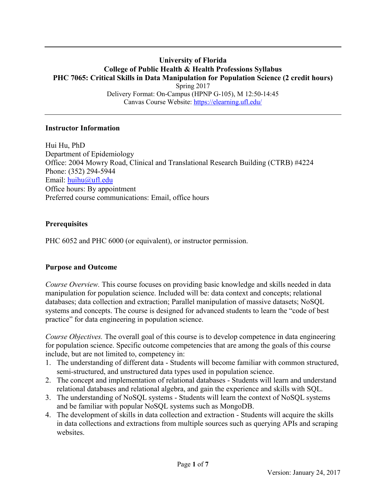#### **University of Florida College of Public Health & Health Professions Syllabus PHC 7065: Critical Skills in Data Manipulation for Population Science (2 credit hours)** Spring 2017 Delivery Format: On-Campus (HPNP G-105), M 12:50-14:45 Canvas Course Website:<https://elearning.ufl.edu/>

#### **Instructor Information**

Hui Hu, PhD Department of Epidemiology Office: 2004 Mowry Road, Clinical and Translational Research Building (CTRB) #4224 Phone: (352) 294-5944 Email: [huihu@ufl.edu](mailto:huihu@ufl.edu) Office hours: By appointment Preferred course communications: Email, office hours

### **Prerequisites**

PHC 6052 and PHC 6000 (or equivalent), or instructor permission.

### **Purpose and Outcome**

*Course Overview.* This course focuses on providing basic knowledge and skills needed in data manipulation for population science. Included will be: data context and concepts; relational databases; data collection and extraction; Parallel manipulation of massive datasets; NoSQL systems and concepts. The course is designed for advanced students to learn the "code of best practice" for data engineering in population science.

*Course Objectives.* The overall goal of this course is to develop competence in data engineering for population science. Specific outcome competencies that are among the goals of this course include, but are not limited to, competency in:

- 1. The understanding of different data Students will become familiar with common structured, semi-structured, and unstructured data types used in population science.
- 2. The concept and implementation of relational databases Students will learn and understand relational databases and relational algebra, and gain the experience and skills with SQL.
- 3. The understanding of NoSQL systems Students will learn the context of NoSQL systems and be familiar with popular NoSQL systems such as MongoDB.
- 4. The development of skills in data collection and extraction Students will acquire the skills in data collections and extractions from multiple sources such as querying APIs and scraping websites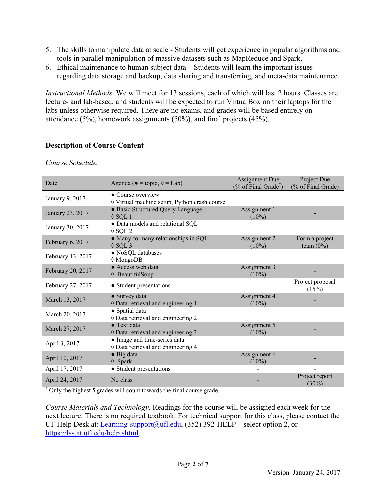- 5. The skills to manipulate data at scale Students will get experience in popular algorithms and tools in parallel manipulation of massive datasets such as MapReduce and Spark.
- 6. Ethical maintenance to human subject data Students will learn the important issues regarding data storage and backup, data sharing and transferring, and meta-data maintenance.

*Instructional Methods.* We will meet for 13 sessions, each of which will last 2 hours. Classes are lecture- and lab-based, and students will be expected to run VirtualBox on their laptops for the labs unless otherwise required. There are no exams, and grades will be based entirely on attendance (5%), homework assignments (50%), and final projects (45%).

# **Description of Course Content**

*Course Schedule.*

| Date              | Agenda ( $\bullet$ = topic, $\Diamond$ = Lab)                      | <b>Assignment Due</b><br>$%$ of Final Grade <sup>*</sup> ) | Project Due<br>(% of Final Grade) |  |
|-------------------|--------------------------------------------------------------------|------------------------------------------------------------|-----------------------------------|--|
| January 9, 2017   | • Course overview<br>◊ Virtual machine setup, Python crash course  |                                                            |                                   |  |
| January 23, 2017  | · Basic Structured Query Language<br>$\lozenge$ SQL 1              | Assignment 1<br>$(10\%)$                                   |                                   |  |
| January 30, 2017  | · Data models and relational SQL<br>$\Diamond$ SQL 2               |                                                            |                                   |  |
| February 6, 2017  | • Many-to-many relationships in SQL<br>$\Diamond$ SQL 3            | Assignment 2<br>$(10\%)$                                   | Form a project<br>team $(0\%)$    |  |
| February 13, 2017 | · NoSQL databases<br>$\Diamond$ MongoDB                            |                                                            |                                   |  |
| February 20, 2017 | • Access web data<br>♦ BeautifulSoup                               | Assignment 3<br>$(10\%)$                                   |                                   |  |
| February 27, 2017 | • Student presentations                                            |                                                            | Project proposal<br>(15%)         |  |
| March 13, 2017    | • Survey data<br>♦ Data retrieval and engineering 1                | Assignment 4<br>$(10\%)$                                   |                                   |  |
| March 20, 2017    | • Spatial data<br>$\Diamond$ Data retrieval and engineering 2      |                                                            |                                   |  |
| March 27, 2017    | • Text data<br>♦ Data retrieval and engineering 3                  | Assignment 5<br>$(10\%)$                                   |                                   |  |
| April 3, 2017     | • Image and time-series data<br>♦ Data retrieval and engineering 4 |                                                            |                                   |  |
| April 10, 2017    | $\bullet$ Big data<br>$\Diamond$ Spark                             | Assignment 6<br>$(10\%)$                                   |                                   |  |
| April 17, 2017    | • Student presentations                                            |                                                            |                                   |  |
| April 24, 2017    | No class                                                           |                                                            | Project report<br>$(30\%)$        |  |

\* Only the highest 5 grades will count towards the final course grade.

*Course Materials and Technology.* Readings for the course will be assigned each week for the next lecture. There is no required textbook. For technical support for this class, please contact the UF Help Desk at: [Learning-support@ufl.edu,](mailto:Learning-support@ufl.edu) (352) 392-HELP – select option 2, or [https://lss.at.ufl.edu/help.shtml.](https://lss.at.ufl.edu/help.shtml)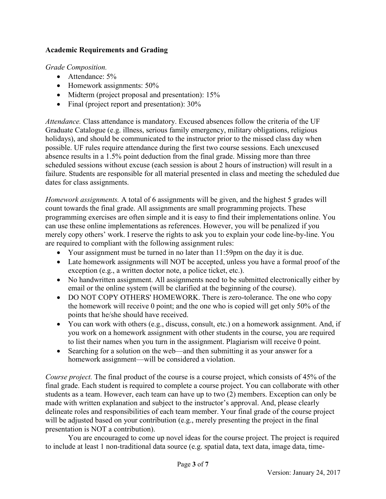## **Academic Requirements and Grading**

*Grade Composition.*

- Attendance: 5%
- Homework assignments:  $50\%$
- $\bullet$  Midterm (project proposal and presentation): 15%
- Final (project report and presentation):  $30\%$

*Attendance.* Class attendance is mandatory. Excused absences follow the criteria of the UF Graduate Catalogue (e.g. illness, serious family emergency, military obligations, religious holidays), and should be communicated to the instructor prior to the missed class day when possible. UF rules require attendance during the first two course sessions. Each unexcused absence results in a 1.5% point deduction from the final grade. Missing more than three scheduled sessions without excuse (each session is about 2 hours of instruction) will result in a failure. Students are responsible for all material presented in class and meeting the scheduled due dates for class assignments.

*Homework assignments.* A total of 6 assignments will be given, and the highest 5 grades will count towards the final grade. All assignments are small programming projects. These programming exercises are often simple and it is easy to find their implementations online. You can use these online implementations as references. However, you will be penalized if you merely copy others' work. I reserve the rights to ask you to explain your code line-by-line. You are required to compliant with the following assignment rules:

- Your assignment must be turned in no later than 11:59pm on the day it is due.
- Late homework assignments will NOT be accepted, unless you have a formal proof of the exception (e.g., a written doctor note, a police ticket, etc.).
- No handwritten assignment. All assignments need to be submitted electronically either by email or the online system (will be clarified at the beginning of the course).
- DO NOT COPY OTHERS' HOMEWORK. There is zero-tolerance. The one who copy the homework will receive 0 point; and the one who is copied will get only 50% of the points that he/she should have received.
- You can work with others (e.g., discuss, consult, etc.) on a homework assignment. And, if you work on a homework assignment with other students in the course, you are required to list their names when you turn in the assignment. Plagiarism will receive 0 point.
- Searching for a solution on the web—and then submitting it as your answer for a homework assignment—will be considered a violation.

*Course project.* The final product of the course is a course project, which consists of 45% of the final grade. Each student is required to complete a course project. You can collaborate with other students as a team. However, each team can have up to two (2) members. Exception can only be made with written explanation and subject to the instructor's approval. And, please clearly delineate roles and responsibilities of each team member. Your final grade of the course project will be adjusted based on your contribution (e.g., merely presenting the project in the final presentation is NOT a contribution).

You are encouraged to come up novel ideas for the course project. The project is required to include at least 1 non-traditional data source (e.g. spatial data, text data, image data, time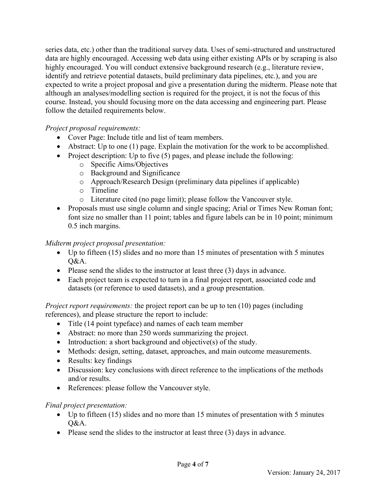series data, etc.) other than the traditional survey data. Uses of semi-structured and unstructured data are highly encouraged. Accessing web data using either existing APIs or by scraping is also highly encouraged. You will conduct extensive background research (e.g., literature review, identify and retrieve potential datasets, build preliminary data pipelines, etc.), and you are expected to write a project proposal and give a presentation during the midterm. Please note that although an analyses/modelling section is required for the project, it is not the focus of this course. Instead, you should focusing more on the data accessing and engineering part. Please follow the detailed requirements below.

## *Project proposal requirements:*

- Cover Page: Include title and list of team members.
- Abstract: Up to one (1) page. Explain the motivation for the work to be accomplished.
- Project description: Up to five  $(5)$  pages, and please include the following:
	- o Specific Aims/Objectives
	- o Background and Significance
	- o Approach/Research Design (preliminary data pipelines if applicable)
	- o Timeline
	- o Literature cited (no page limit); please follow the Vancouver style.
- Proposals must use single column and single spacing; Arial or Times New Roman font; font size no smaller than 11 point; tables and figure labels can be in 10 point; minimum 0.5 inch margins.

### *Midterm project proposal presentation:*

- Up to fifteen (15) slides and no more than 15 minutes of presentation with 5 minutes  $O&A$ .
- Please send the slides to the instructor at least three (3) days in advance.
- Each project team is expected to turn in a final project report, associated code and datasets (or reference to used datasets), and a group presentation.

*Project report requirements:* the project report can be up to ten (10) pages (including references), and please structure the report to include:

- Title (14 point typeface) and names of each team member
- Abstract: no more than 250 words summarizing the project.
- Introduction: a short background and objective(s) of the study.
- Methods: design, setting, dataset, approaches, and main outcome measurements.
- Results: key findings
- Discussion: key conclusions with direct reference to the implications of the methods and/or results.
- References: please follow the Vancouver style.

### *Final project presentation:*

- Up to fifteen (15) slides and no more than 15 minutes of presentation with 5 minutes Q&A.
- Please send the slides to the instructor at least three (3) days in advance.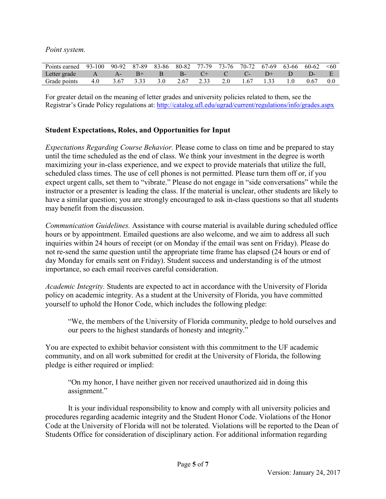*Point system.*

| Points earned 93-100 90-92 87-89 83-86 80-82 77-79 73-76 70-72 67-69 63-66 60-62 <60 |  |  |  |  |  |  |
|--------------------------------------------------------------------------------------|--|--|--|--|--|--|
| Letter grade A A- B+ B B- C+ C C- D+ D D- E                                          |  |  |  |  |  |  |
| Grade points 4.0 3.67 3.33 3.0 2.67 2.33 2.0 1.67 1.33 1.0 0.67 0.0                  |  |  |  |  |  |  |

For greater detail on the meaning of letter grades and university policies related to them, see the Registrar's Grade Policy regulations at: <http://catalog.ufl.edu/ugrad/current/regulations/info/grades.aspx>

### **Student Expectations, Roles, and Opportunities for Input**

*Expectations Regarding Course Behavior.* Please come to class on time and be prepared to stay until the time scheduled as the end of class. We think your investment in the degree is worth maximizing your in-class experience, and we expect to provide materials that utilize the full, scheduled class times. The use of cell phones is not permitted. Please turn them off or, if you expect urgent calls, set them to "vibrate." Please do not engage in "side conversations" while the instructor or a presenter is leading the class. If the material is unclear, other students are likely to have a similar question; you are strongly encouraged to ask in-class questions so that all students may benefit from the discussion.

*Communication Guidelines.* Assistance with course material is available during scheduled office hours or by appointment. Emailed questions are also welcome, and we aim to address all such inquiries within 24 hours of receipt (or on Monday if the email was sent on Friday). Please do not re-send the same question until the appropriate time frame has elapsed (24 hours or end of day Monday for emails sent on Friday). Student success and understanding is of the utmost importance, so each email receives careful consideration.

*Academic Integrity.* Students are expected to act in accordance with the University of Florida policy on academic integrity. As a student at the University of Florida, you have committed yourself to uphold the Honor Code, which includes the following pledge:

"We, the members of the University of Florida community, pledge to hold ourselves and our peers to the highest standards of honesty and integrity."

You are expected to exhibit behavior consistent with this commitment to the UF academic community, and on all work submitted for credit at the University of Florida, the following pledge is either required or implied:

"On my honor, I have neither given nor received unauthorized aid in doing this assignment."

It is your individual responsibility to know and comply with all university policies and procedures regarding academic integrity and the Student Honor Code. Violations of the Honor Code at the University of Florida will not be tolerated. Violations will be reported to the Dean of Students Office for consideration of disciplinary action. For additional information regarding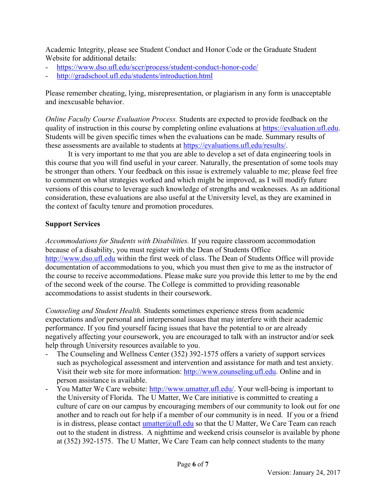Academic Integrity, please see Student Conduct and Honor Code or the Graduate Student Website for additional details:

- <https://www.dso.ufl.edu/sccr/process/student-conduct-honor-code/>
- <http://gradschool.ufl.edu/students/introduction.html>

Please remember cheating, lying, misrepresentation, or plagiarism in any form is unacceptable and inexcusable behavior.

*Online Faculty Course Evaluation Process.* Students are expected to provide feedback on the quality of instruction in this course by completing online evaluations at [https://evaluation.ufl.edu.](https://evaluation.ufl.edu/) Students will be given specific times when the evaluations can be made. Summary results of these assessments are available to students at [https://evaluations.ufl.edu/results/.](https://evaluations.ufl.edu/results/)

It is very important to me that you are able to develop a set of data engineering tools in this course that you will find useful in your career. Naturally, the presentation of some tools may be stronger than others. Your feedback on this issue is extremely valuable to me; please feel free to comment on what strategies worked and which might be improved, as I will modify future versions of this course to leverage such knowledge of strengths and weaknesses. As an additional consideration, these evaluations are also useful at the University level, as they are examined in the context of faculty tenure and promotion procedures.

## **Support Services**

*Accommodations for Students with Disabilities.* If you require classroom accommodation because of a disability, you must register with the Dean of Students Office [http://www.dso.ufl.edu](http://www.dso.ufl.edu/) within the first week of class. The Dean of Students Office will provide documentation of accommodations to you, which you must then give to me as the instructor of the course to receive accommodations. Please make sure you provide this letter to me by the end of the second week of the course. The College is committed to providing reasonable accommodations to assist students in their coursework.

*Counseling and Student Health.* Students sometimes experience stress from academic expectations and/or personal and interpersonal issues that may interfere with their academic performance. If you find yourself facing issues that have the potential to or are already negatively affecting your coursework, you are encouraged to talk with an instructor and/or seek help through University resources available to you.

- The Counseling and Wellness Center (352) 392-1575 offers a variety of support services such as psychological assessment and intervention and assistance for math and test anxiety. Visit their web site for more information: [http://www.counseling.ufl.edu.](http://www.counseling.ufl.edu/) Online and in person assistance is available.
- You Matter We Care website: [http://www.umatter.ufl.edu/.](http://www.umatter.ufl.edu/) Your well-being is important to the University of Florida. The U Matter, We Care initiative is committed to creating a culture of care on our campus by encouraging members of our community to look out for one another and to reach out for help if a member of our community is in need. If you or a friend is in distress, please contact  $\frac{umatter(\partial u)}{u}$ . edu so that the U Matter, We Care Team can reach out to the student in distress. A nighttime and weekend crisis counselor is available by phone at (352) 392-1575. The U Matter, We Care Team can help connect students to the many